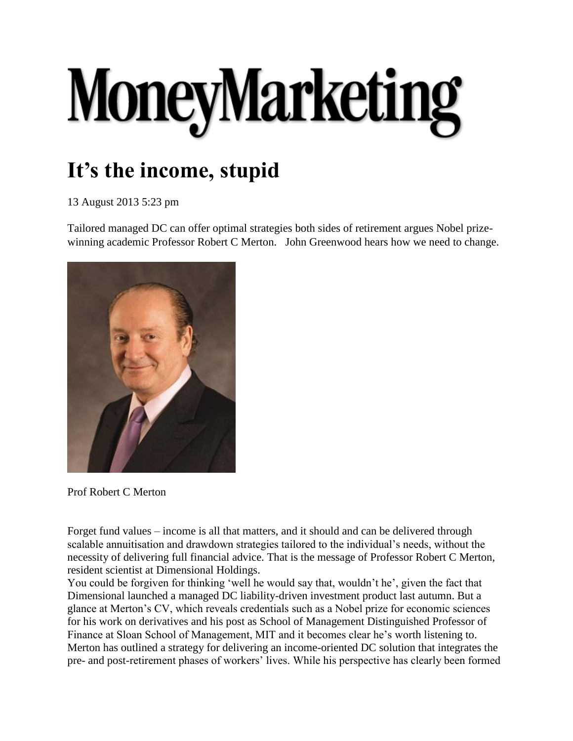## MoneyMarketing

## **It's the income, stupid**

13 August 2013 5:23 pm

Tailored managed DC can offer optimal strategies both sides of retirement argues Nobel prizewinning academic Professor Robert C Merton. John Greenwood hears how we need to change.



Prof Robert C Merton

Forget fund values – income is all that matters, and it should and can be delivered through scalable annuitisation and drawdown strategies tailored to the individual's needs, without the necessity of delivering full financial advice. That is the message of Professor Robert C Merton, resident scientist at Dimensional Holdings.

You could be forgiven for thinking 'well he would say that, wouldn't he', given the fact that Dimensional launched a managed DC liability-driven investment product last autumn. But a glance at Merton's CV, which reveals credentials such as a Nobel prize for economic sciences for his work on derivatives and his post as School of Management Distinguished Professor of Finance at Sloan School of Management, MIT and it becomes clear he's worth listening to. Merton has outlined a strategy for delivering an income-oriented DC solution that integrates the pre- and post-retirement phases of workers' lives. While his perspective has clearly been formed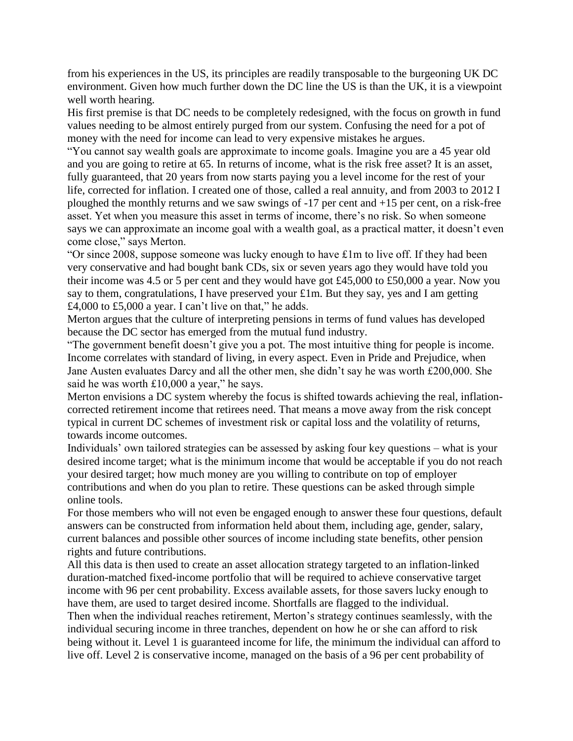from his experiences in the US, its principles are readily transposable to the burgeoning UK DC environment. Given how much further down the DC line the US is than the UK, it is a viewpoint well worth hearing.

His first premise is that DC needs to be completely redesigned, with the focus on growth in fund values needing to be almost entirely purged from our system. Confusing the need for a pot of money with the need for income can lead to very expensive mistakes he argues.

"You cannot say wealth goals are approximate to income goals. Imagine you are a 45 year old and you are going to retire at 65. In returns of income, what is the risk free asset? It is an asset, fully guaranteed, that 20 years from now starts paying you a level income for the rest of your life, corrected for inflation. I created one of those, called a real annuity, and from 2003 to 2012 I ploughed the monthly returns and we saw swings of -17 per cent and +15 per cent, on a risk-free asset. Yet when you measure this asset in terms of income, there's no risk. So when someone says we can approximate an income goal with a wealth goal, as a practical matter, it doesn't even come close," says Merton.

"Or since 2008, suppose someone was lucky enough to have £1m to live off. If they had been very conservative and had bought bank CDs, six or seven years ago they would have told you their income was 4.5 or 5 per cent and they would have got £45,000 to £50,000 a year. Now you say to them, congratulations, I have preserved your £1m. But they say, yes and I am getting  $\overline{£4,000}$  to  $\overline{£5,000}$  a year. I can't live on that," he adds.

Merton argues that the culture of interpreting pensions in terms of fund values has developed because the DC sector has emerged from the mutual fund industry.

"The government benefit doesn't give you a pot. The most intuitive thing for people is income. Income correlates with standard of living, in every aspect. Even in Pride and Prejudice, when Jane Austen evaluates Darcy and all the other men, she didn't say he was worth £200,000. She said he was worth £10,000 a year," he says.

Merton envisions a DC system whereby the focus is shifted towards achieving the real, inflationcorrected retirement income that retirees need. That means a move away from the risk concept typical in current DC schemes of investment risk or capital loss and the volatility of returns, towards income outcomes.

Individuals' own tailored strategies can be assessed by asking four key questions – what is your desired income target; what is the minimum income that would be acceptable if you do not reach your desired target; how much money are you willing to contribute on top of employer contributions and when do you plan to retire. These questions can be asked through simple online tools.

For those members who will not even be engaged enough to answer these four questions, default answers can be constructed from information held about them, including age, gender, salary, current balances and possible other sources of income including state benefits, other pension rights and future contributions.

All this data is then used to create an asset allocation strategy targeted to an inflation-linked duration-matched fixed-income portfolio that will be required to achieve conservative target income with 96 per cent probability. Excess available assets, for those savers lucky enough to have them, are used to target desired income. Shortfalls are flagged to the individual.

Then when the individual reaches retirement, Merton's strategy continues seamlessly, with the individual securing income in three tranches, dependent on how he or she can afford to risk being without it. Level 1 is guaranteed income for life, the minimum the individual can afford to live off. Level 2 is conservative income, managed on the basis of a 96 per cent probability of